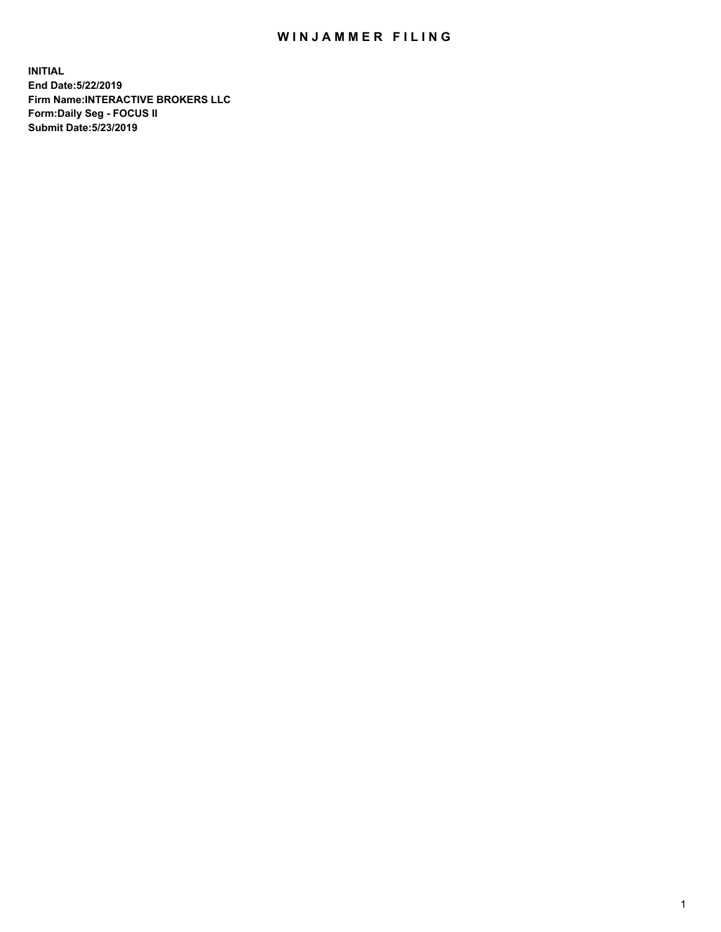## WIN JAMMER FILING

**INITIAL End Date:5/22/2019 Firm Name:INTERACTIVE BROKERS LLC Form:Daily Seg - FOCUS II Submit Date:5/23/2019**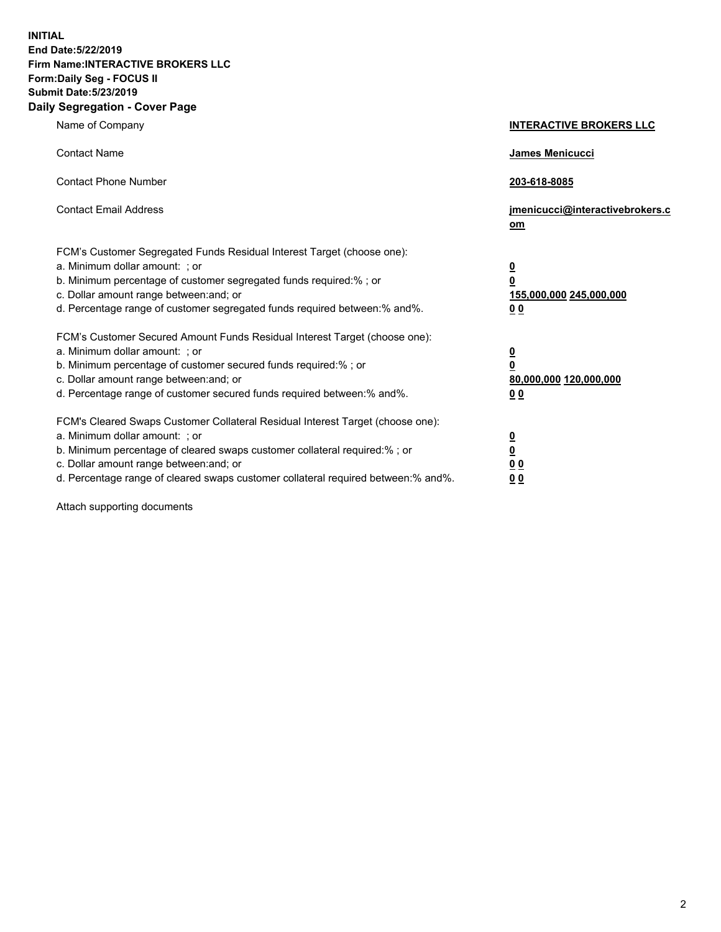**INITIAL End Date:5/22/2019 Firm Name:INTERACTIVE BROKERS LLC Form:Daily Seg - FOCUS II Submit Date:5/23/2019 Daily Segregation - Cover Page**

| Name of Company                                                                                                                                                                                                                                                                                                                | <b>INTERACTIVE BROKERS LLC</b>                                                   |
|--------------------------------------------------------------------------------------------------------------------------------------------------------------------------------------------------------------------------------------------------------------------------------------------------------------------------------|----------------------------------------------------------------------------------|
| <b>Contact Name</b>                                                                                                                                                                                                                                                                                                            | James Menicucci                                                                  |
| <b>Contact Phone Number</b>                                                                                                                                                                                                                                                                                                    | 203-618-8085                                                                     |
| <b>Contact Email Address</b>                                                                                                                                                                                                                                                                                                   | jmenicucci@interactivebrokers.c<br>om                                            |
| FCM's Customer Segregated Funds Residual Interest Target (choose one):<br>a. Minimum dollar amount: ; or<br>b. Minimum percentage of customer segregated funds required:% ; or<br>c. Dollar amount range between: and; or<br>d. Percentage range of customer segregated funds required between:% and%.                         | <u>0</u><br>$\overline{\mathbf{0}}$<br>155,000,000 245,000,000<br>0 <sub>0</sub> |
| FCM's Customer Secured Amount Funds Residual Interest Target (choose one):<br>a. Minimum dollar amount: ; or<br>b. Minimum percentage of customer secured funds required:% ; or<br>c. Dollar amount range between: and; or<br>d. Percentage range of customer secured funds required between:% and%.                           | <u>0</u><br>$\overline{\mathbf{0}}$<br>80,000,000 120,000,000<br>0 <sub>0</sub>  |
| FCM's Cleared Swaps Customer Collateral Residual Interest Target (choose one):<br>a. Minimum dollar amount: ; or<br>b. Minimum percentage of cleared swaps customer collateral required:% ; or<br>c. Dollar amount range between: and; or<br>d. Percentage range of cleared swaps customer collateral required between:% and%. | <u>0</u><br>$\underline{\mathbf{0}}$<br>0 <sub>0</sub><br>0 <sub>0</sub>         |

Attach supporting documents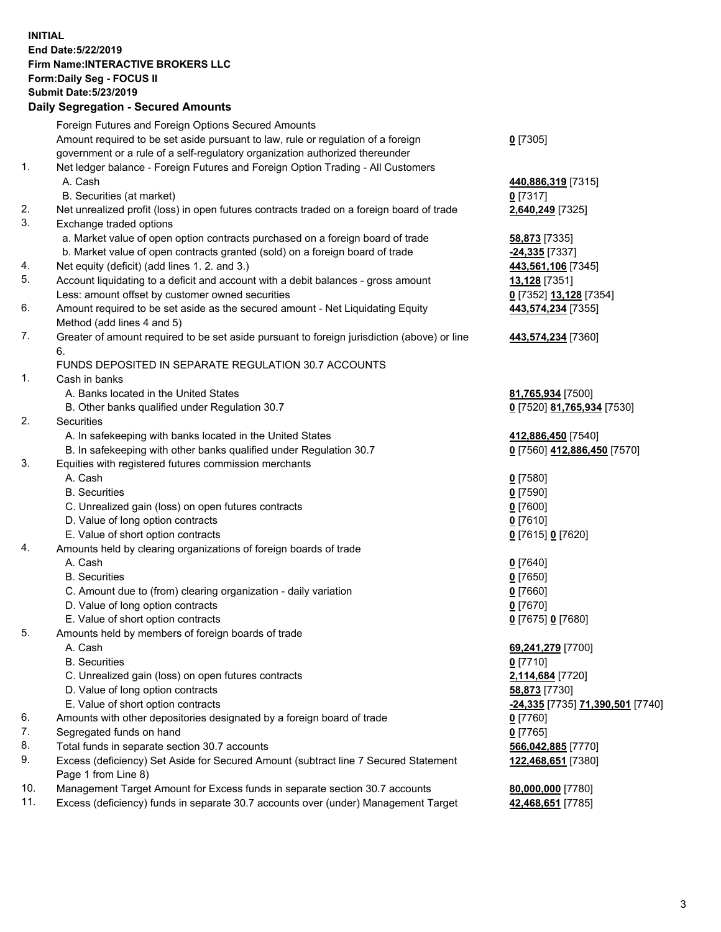## **INITIAL End Date:5/22/2019 Firm Name:INTERACTIVE BROKERS LLC Form:Daily Seg - FOCUS II Submit Date:5/23/2019 Daily Segregation - Secured Amounts**

|                | Daily Ocglegation - Occuled Aniounts                                                              |                                  |
|----------------|---------------------------------------------------------------------------------------------------|----------------------------------|
|                | Foreign Futures and Foreign Options Secured Amounts                                               |                                  |
|                | Amount required to be set aside pursuant to law, rule or regulation of a foreign                  | $0$ [7305]                       |
|                | government or a rule of a self-regulatory organization authorized thereunder                      |                                  |
| $\mathbf{1}$ . | Net ledger balance - Foreign Futures and Foreign Option Trading - All Customers                   |                                  |
|                | A. Cash                                                                                           | 440,886,319 [7315]               |
|                | B. Securities (at market)                                                                         | $0$ [7317]                       |
| 2.             | Net unrealized profit (loss) in open futures contracts traded on a foreign board of trade         | 2,640,249 [7325]                 |
| 3.             | Exchange traded options                                                                           |                                  |
|                | a. Market value of open option contracts purchased on a foreign board of trade                    | 58,873 [7335]                    |
|                | b. Market value of open contracts granted (sold) on a foreign board of trade                      | -24,335 [7337]                   |
| 4.             | Net equity (deficit) (add lines 1.2. and 3.)                                                      | 443,561,106 [7345]               |
| 5.             | Account liquidating to a deficit and account with a debit balances - gross amount                 | 13,128 [7351]                    |
|                | Less: amount offset by customer owned securities                                                  | 0 [7352] 13,128 [7354]           |
| 6.             | Amount required to be set aside as the secured amount - Net Liquidating Equity                    | 443,574,234 [7355]               |
|                | Method (add lines 4 and 5)                                                                        |                                  |
| 7.             | Greater of amount required to be set aside pursuant to foreign jurisdiction (above) or line<br>6. | 443,574,234 [7360]               |
|                | FUNDS DEPOSITED IN SEPARATE REGULATION 30.7 ACCOUNTS                                              |                                  |
| $\mathbf{1}$ . | Cash in banks                                                                                     |                                  |
|                | A. Banks located in the United States                                                             | 81,765,934 [7500]                |
|                | B. Other banks qualified under Regulation 30.7                                                    | 0 [7520] 81,765,934 [7530]       |
| 2.             | Securities                                                                                        |                                  |
|                | A. In safekeeping with banks located in the United States                                         | 412,886,450 [7540]               |
|                | B. In safekeeping with other banks qualified under Regulation 30.7                                | 0 [7560] 412,886,450 [7570]      |
| 3.             | Equities with registered futures commission merchants                                             |                                  |
|                | A. Cash                                                                                           | $0$ [7580]                       |
|                | <b>B.</b> Securities                                                                              | $0$ [7590]                       |
|                | C. Unrealized gain (loss) on open futures contracts                                               | $0$ [7600]                       |
|                | D. Value of long option contracts                                                                 | $0$ [7610]                       |
|                | E. Value of short option contracts                                                                | 0 [7615] 0 [7620]                |
| 4.             | Amounts held by clearing organizations of foreign boards of trade                                 |                                  |
|                | A. Cash                                                                                           | $0$ [7640]                       |
|                | <b>B.</b> Securities                                                                              | $0$ [7650]                       |
|                | C. Amount due to (from) clearing organization - daily variation                                   | $0$ [7660]                       |
|                | D. Value of long option contracts                                                                 | $0$ [7670]                       |
|                | E. Value of short option contracts                                                                | 0 [7675] 0 [7680]                |
| 5.             | Amounts held by members of foreign boards of trade                                                |                                  |
|                | A. Cash                                                                                           | 69,241,279 [7700]                |
|                | <b>B.</b> Securities                                                                              | $0$ [7710]                       |
|                | C. Unrealized gain (loss) on open futures contracts                                               | 2,114,684 [7720]                 |
|                | D. Value of long option contracts                                                                 | 58,873 [7730]                    |
|                | E. Value of short option contracts                                                                | -24,335 [7735] 71,390,501 [7740] |
| 6.             | Amounts with other depositories designated by a foreign board of trade                            | 0 [7760]                         |
| 7.             | Segregated funds on hand                                                                          | $0$ [7765]                       |
| 8.             | Total funds in separate section 30.7 accounts                                                     | 566,042,885 [7770]               |
| 9.             | Excess (deficiency) Set Aside for Secured Amount (subtract line 7 Secured Statement               | 122,468,651 [7380]               |
|                | Page 1 from Line 8)                                                                               |                                  |
| 10.            | Management Target Amount for Excess funds in separate section 30.7 accounts                       | 80,000,000 [7780]                |
| 11.            | Excess (deficiency) funds in separate 30.7 accounts over (under) Management Target                | 42,468,651 [7785]                |
|                |                                                                                                   |                                  |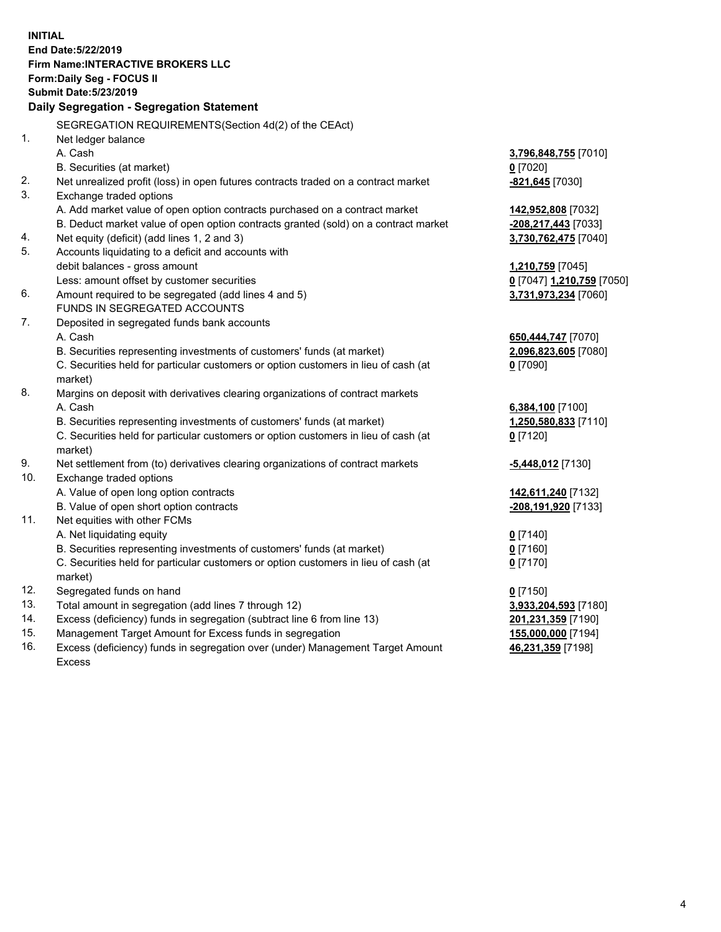**INITIAL End Date:5/22/2019 Firm Name:INTERACTIVE BROKERS LLC Form:Daily Seg - FOCUS II Submit Date:5/23/2019 Daily Segregation - Segregation Statement** SEGREGATION REQUIREMENTS(Section 4d(2) of the CEAct) 1. Net ledger balance A. Cash **3,796,848,755** [7010] B. Securities (at market) **0** [7020] 2. Net unrealized profit (loss) in open futures contracts traded on a contract market **-821,645** [7030] 3. Exchange traded options A. Add market value of open option contracts purchased on a contract market **142,952,808** [7032] B. Deduct market value of open option contracts granted (sold) on a contract market **-208,217,443** [7033] 4. Net equity (deficit) (add lines 1, 2 and 3) **3,730,762,475** [7040] 5. Accounts liquidating to a deficit and accounts with debit balances - gross amount **1,210,759** [7045] Less: amount offset by customer securities **0** [7047] **1,210,759** [7050] 6. Amount required to be segregated (add lines 4 and 5) **3,731,973,234** [7060] FUNDS IN SEGREGATED ACCOUNTS 7. Deposited in segregated funds bank accounts A. Cash **650,444,747** [7070] B. Securities representing investments of customers' funds (at market) **2,096,823,605** [7080] C. Securities held for particular customers or option customers in lieu of cash (at market) **0** [7090] 8. Margins on deposit with derivatives clearing organizations of contract markets A. Cash **6,384,100** [7100] B. Securities representing investments of customers' funds (at market) **1,250,580,833** [7110] C. Securities held for particular customers or option customers in lieu of cash (at market) **0** [7120] 9. Net settlement from (to) derivatives clearing organizations of contract markets **-5,448,012** [7130] 10. Exchange traded options A. Value of open long option contracts **142,611,240** [7132] B. Value of open short option contracts **-208,191,920** [7133] 11. Net equities with other FCMs A. Net liquidating equity **0** [7140] B. Securities representing investments of customers' funds (at market) **0** [7160] C. Securities held for particular customers or option customers in lieu of cash (at market) **0** [7170] 12. Segregated funds on hand **0** [7150] 13. Total amount in segregation (add lines 7 through 12) **3,933,204,593** [7180] 14. Excess (deficiency) funds in segregation (subtract line 6 from line 13) **201,231,359** [7190] 15. Management Target Amount for Excess funds in segregation **155,000,000** [7194]

16. Excess (deficiency) funds in segregation over (under) Management Target Amount Excess

**46,231,359** [7198]